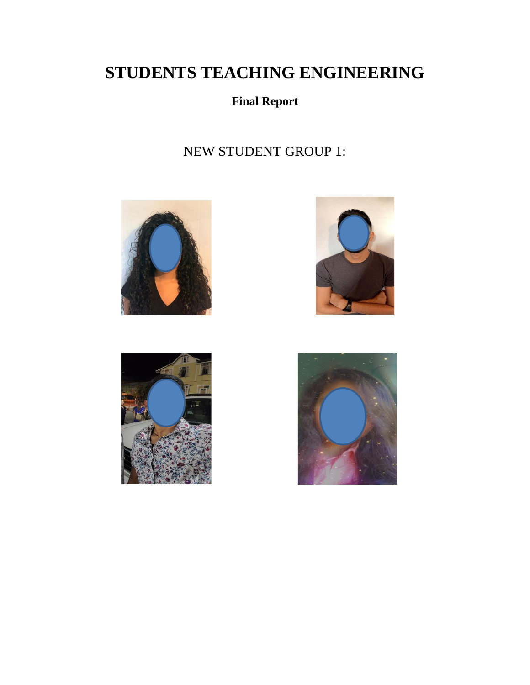# **STUDENTS TEACHING ENGINEERING**

# **Final Report**

# NEW STUDENT GROUP 1:







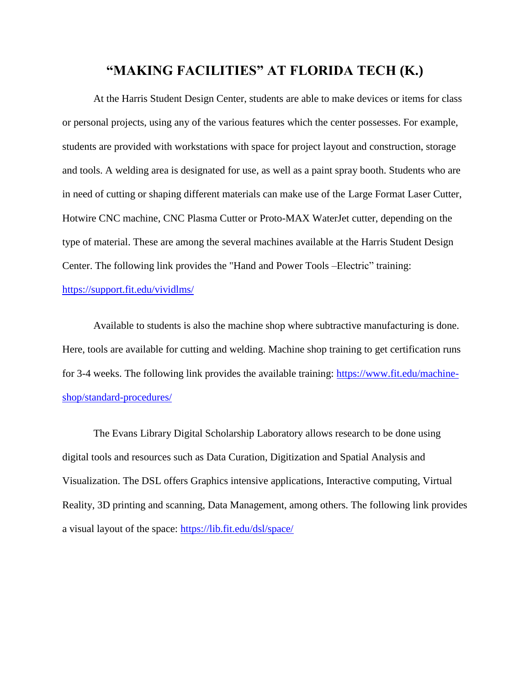#### **"MAKING FACILITIES" AT FLORIDA TECH (K.)**

At the Harris Student Design Center, students are able to make devices or items for class or personal projects, using any of the various features which the center possesses. For example, students are provided with workstations with space for project layout and construction, storage and tools. A welding area is designated for use, as well as a paint spray booth. Students who are in need of cutting or shaping different materials can make use of the Large Format Laser Cutter, Hotwire CNC machine, CNC Plasma Cutter or Proto-MAX WaterJet cutter, depending on the type of material. These are among the several machines available at the Harris Student Design Center. The following link provides the "Hand and Power Tools –Electric" training: <https://support.fit.edu/vividlms/>

Available to students is also the machine shop where subtractive manufacturing is done. Here, tools are available for cutting and welding. Machine shop training to get certification runs for 3-4 weeks. The following link provides the available training: [https://www.fit.edu/machine](https://www.fit.edu/machine-shop/standard-procedures/)[shop/standard-procedures/](https://www.fit.edu/machine-shop/standard-procedures/)

The Evans Library Digital Scholarship Laboratory allows research to be done using digital tools and resources such as Data Curation, Digitization and Spatial Analysis and Visualization. The DSL offers Graphics intensive applications, Interactive computing, Virtual Reality, 3D printing and scanning, Data Management, among others. The following link provides a visual layout of the space:<https://lib.fit.edu/dsl/space/>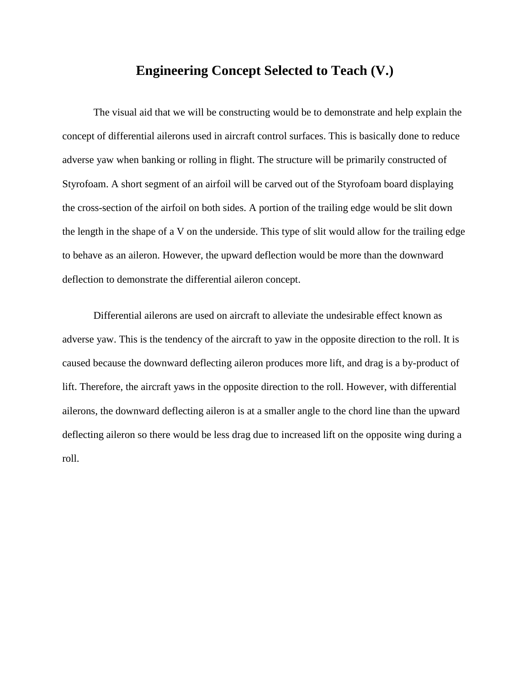#### **Engineering Concept Selected to Teach (V.)**

The visual aid that we will be constructing would be to demonstrate and help explain the concept of differential ailerons used in aircraft control surfaces. This is basically done to reduce adverse yaw when banking or rolling in flight. The structure will be primarily constructed of Styrofoam. A short segment of an airfoil will be carved out of the Styrofoam board displaying the cross-section of the airfoil on both sides. A portion of the trailing edge would be slit down the length in the shape of a V on the underside. This type of slit would allow for the trailing edge to behave as an aileron. However, the upward deflection would be more than the downward deflection to demonstrate the differential aileron concept.

Differential ailerons are used on aircraft to alleviate the undesirable effect known as adverse yaw. This is the tendency of the aircraft to yaw in the opposite direction to the roll. It is caused because the downward deflecting aileron produces more lift, and drag is a by-product of lift. Therefore, the aircraft yaws in the opposite direction to the roll. However, with differential ailerons, the downward deflecting aileron is at a smaller angle to the chord line than the upward deflecting aileron so there would be less drag due to increased lift on the opposite wing during a roll.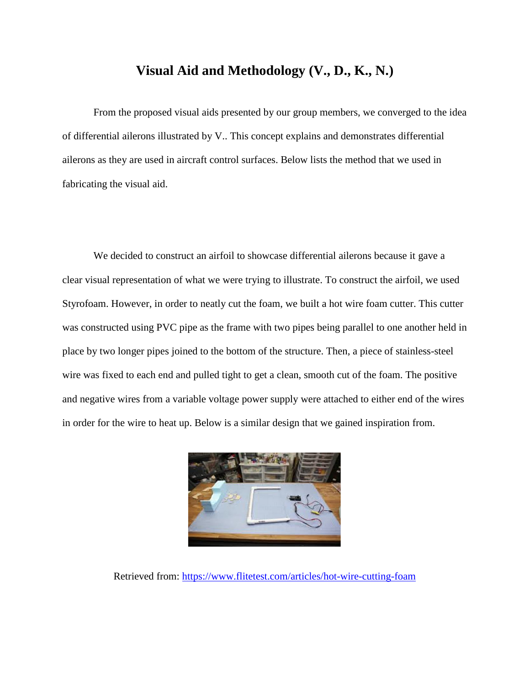#### **Visual Aid and Methodology (V., D., K., N.)**

From the proposed visual aids presented by our group members, we converged to the idea of differential ailerons illustrated by V.. This concept explains and demonstrates differential ailerons as they are used in aircraft control surfaces. Below lists the method that we used in fabricating the visual aid.

We decided to construct an airfoil to showcase differential ailerons because it gave a clear visual representation of what we were trying to illustrate. To construct the airfoil, we used Styrofoam. However, in order to neatly cut the foam, we built a hot wire foam cutter. This cutter was constructed using PVC pipe as the frame with two pipes being parallel to one another held in place by two longer pipes joined to the bottom of the structure. Then, a piece of stainless-steel wire was fixed to each end and pulled tight to get a clean, smooth cut of the foam. The positive and negative wires from a variable voltage power supply were attached to either end of the wires in order for the wire to heat up. Below is a similar design that we gained inspiration from.



Retrieved from:<https://www.flitetest.com/articles/hot-wire-cutting-foam>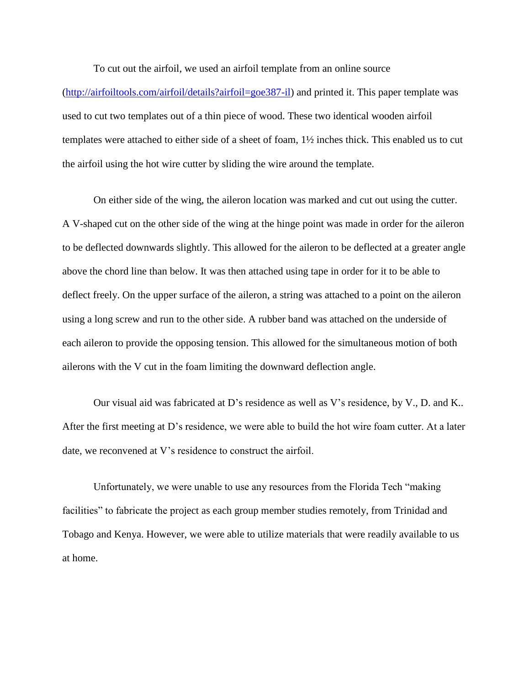To cut out the airfoil, we used an airfoil template from an online source

[\(http://airfoiltools.com/airfoil/details?airfoil=goe387-il\)](http://airfoiltools.com/airfoil/details?airfoil=goe387-il) and printed it. This paper template was used to cut two templates out of a thin piece of wood. These two identical wooden airfoil templates were attached to either side of a sheet of foam, 1½ inches thick. This enabled us to cut the airfoil using the hot wire cutter by sliding the wire around the template.

On either side of the wing, the aileron location was marked and cut out using the cutter. A V-shaped cut on the other side of the wing at the hinge point was made in order for the aileron to be deflected downwards slightly. This allowed for the aileron to be deflected at a greater angle above the chord line than below. It was then attached using tape in order for it to be able to deflect freely. On the upper surface of the aileron, a string was attached to a point on the aileron using a long screw and run to the other side. A rubber band was attached on the underside of each aileron to provide the opposing tension. This allowed for the simultaneous motion of both ailerons with the V cut in the foam limiting the downward deflection angle.

Our visual aid was fabricated at D's residence as well as V's residence, by V., D. and K.. After the first meeting at D's residence, we were able to build the hot wire foam cutter. At a later date, we reconvened at V's residence to construct the airfoil.

Unfortunately, we were unable to use any resources from the Florida Tech "making facilities" to fabricate the project as each group member studies remotely, from Trinidad and Tobago and Kenya. However, we were able to utilize materials that were readily available to us at home.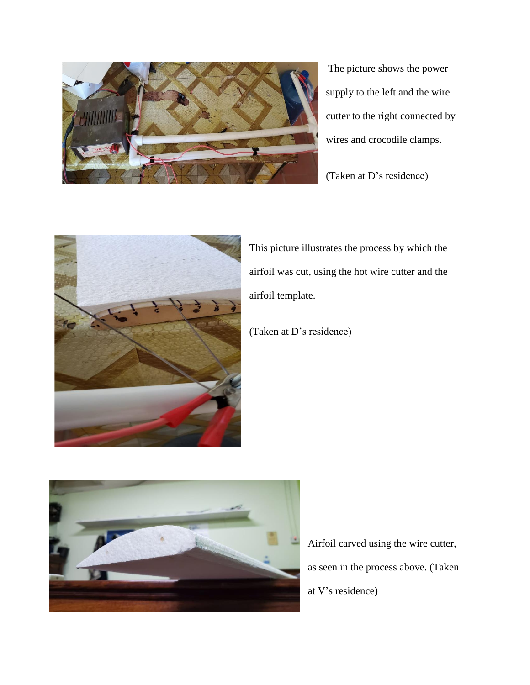

The picture shows the power supply to the left and the wire cutter to the right connected by wires and crocodile clamps.

(Taken at D's residence)



This picture illustrates the process by which the airfoil was cut, using the hot wire cutter and the airfoil template.

(Taken at D's residence)



Airfoil carved using the wire cutter, as seen in the process above. (Taken at V's residence)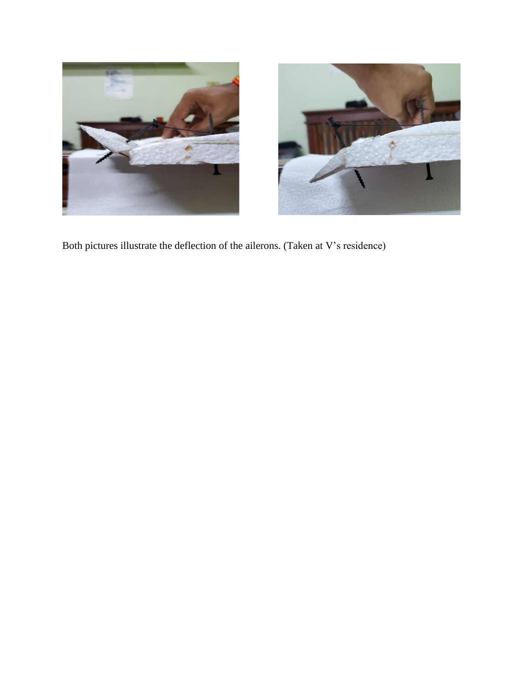



Both pictures illustrate the deflection of the ailerons. (Taken at V's residence)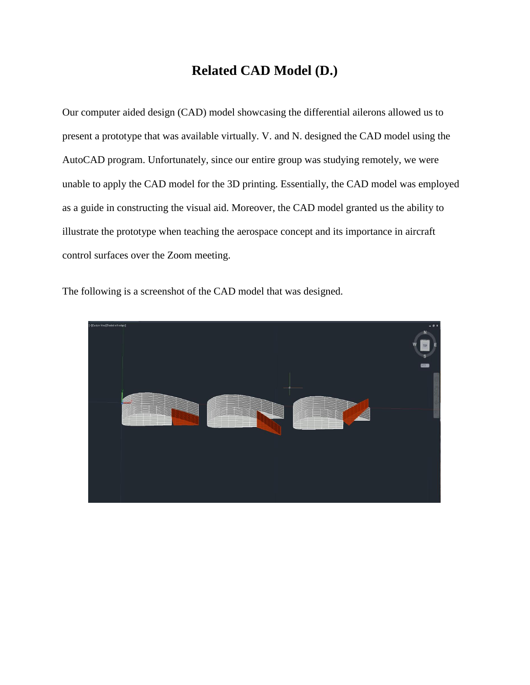## **Related CAD Model (D.)**

Our computer aided design (CAD) model showcasing the differential ailerons allowed us to present a prototype that was available virtually. V. and N. designed the CAD model using the AutoCAD program. Unfortunately, since our entire group was studying remotely, we were unable to apply the CAD model for the 3D printing. Essentially, the CAD model was employed as a guide in constructing the visual aid. Moreover, the CAD model granted us the ability to illustrate the prototype when teaching the aerospace concept and its importance in aircraft control surfaces over the Zoom meeting.

The following is a screenshot of the CAD model that was designed.

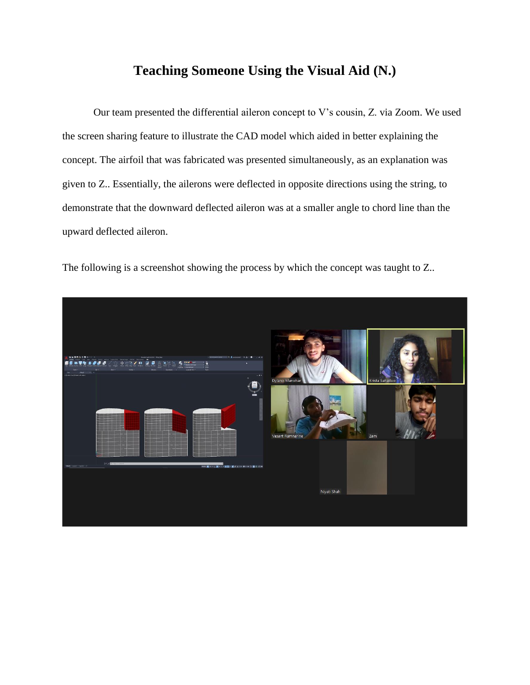### **Teaching Someone Using the Visual Aid (N.)**

Our team presented the differential aileron concept to V's cousin, Z. via Zoom. We used the screen sharing feature to illustrate the CAD model which aided in better explaining the concept. The airfoil that was fabricated was presented simultaneously, as an explanation was given to Z.. Essentially, the ailerons were deflected in opposite directions using the string, to demonstrate that the downward deflected aileron was at a smaller angle to chord line than the upward deflected aileron.

The following is a screenshot showing the process by which the concept was taught to Z..

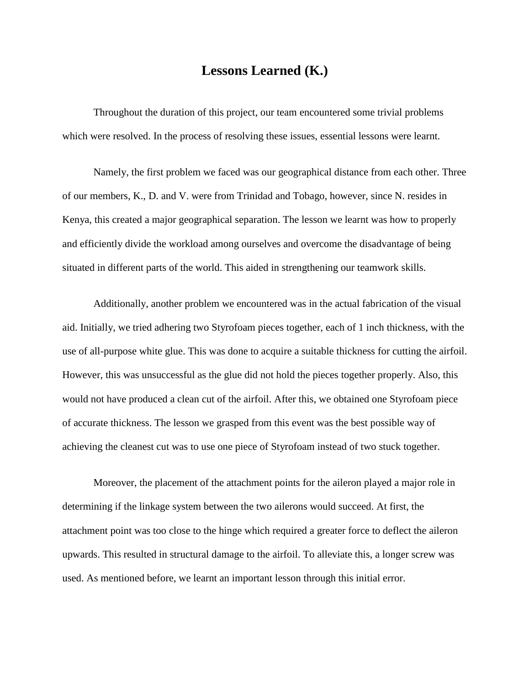### **Lessons Learned (K.)**

Throughout the duration of this project, our team encountered some trivial problems which were resolved. In the process of resolving these issues, essential lessons were learnt.

Namely, the first problem we faced was our geographical distance from each other. Three of our members, K., D. and V. were from Trinidad and Tobago, however, since N. resides in Kenya, this created a major geographical separation. The lesson we learnt was how to properly and efficiently divide the workload among ourselves and overcome the disadvantage of being situated in different parts of the world. This aided in strengthening our teamwork skills.

Additionally, another problem we encountered was in the actual fabrication of the visual aid. Initially, we tried adhering two Styrofoam pieces together, each of 1 inch thickness, with the use of all-purpose white glue. This was done to acquire a suitable thickness for cutting the airfoil. However, this was unsuccessful as the glue did not hold the pieces together properly. Also, this would not have produced a clean cut of the airfoil. After this, we obtained one Styrofoam piece of accurate thickness. The lesson we grasped from this event was the best possible way of achieving the cleanest cut was to use one piece of Styrofoam instead of two stuck together.

Moreover, the placement of the attachment points for the aileron played a major role in determining if the linkage system between the two ailerons would succeed. At first, the attachment point was too close to the hinge which required a greater force to deflect the aileron upwards. This resulted in structural damage to the airfoil. To alleviate this, a longer screw was used. As mentioned before, we learnt an important lesson through this initial error.